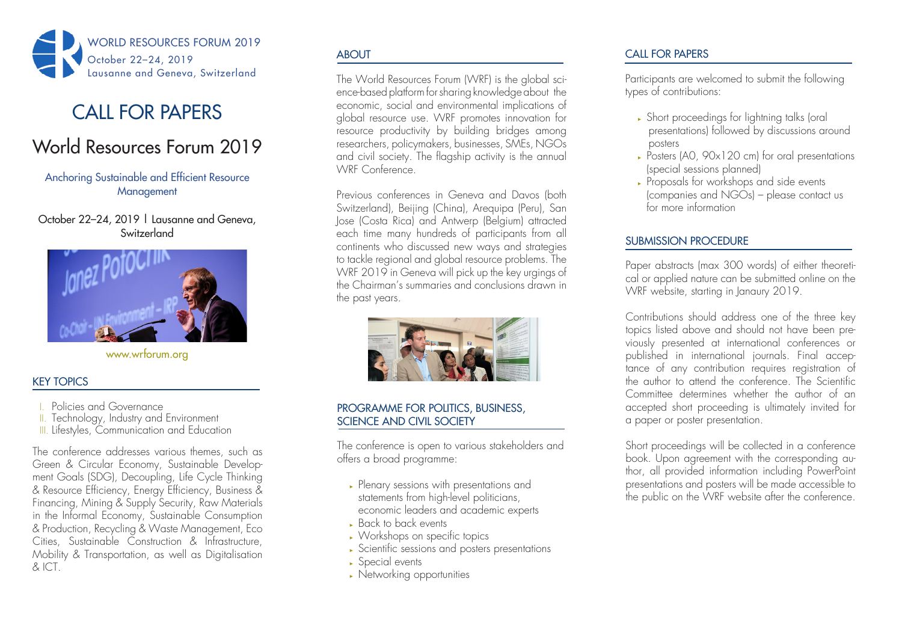

# CALL FOR PAPERS

# World Resources Forum 2019

# Anchoring Sustainable and Efficient Resource **Management**

October 22-24, 2019 | Lausanne and Geneva, Switzerland



www.wrforum.org

# KEY TOPICS

- I. Policies and Governance
- II. Technology, Industry and Environment
- III. Lifestyles, Communication and Education

The conference addresses various themes, such as Green & Circular Economy, Sustainable Development Goals (SDG), Decoupling, Life Cycle Thinking & Resource Efficiency, Energy Efficiency, Business & Financing, Mining & Supply Security, Raw Materials in the Informal Economy, Sustainable Consumption & Production, Recycling & Waste Management, Eco Cities, Sustainable Construction & Infrastructure, Mobility & Transportation, as well as Digitalisation & ICT.

# **ABOUT**

The World Resources Forum (WRF) is the global science-based platform for sharing knowledge about the economic, social and environmental implications of global resource use. WRF promotes innovation for resource productivity by building bridges among researchers, policymakers, businesses, SMEs, NGOs and civil society. The flagship activity is the annual WRF Conference.

Previous conferences in Geneva and Davos (both Switzerland), Beijing (China), Arequipa (Peru), San Jose (Costa Rica) and Antwerp (Belgium) attracted each time many hundreds of participants from all continents who discussed new ways and strategies to tackle regional and global resource problems. The WRF 2019 in Geneva will pick up the key urgings of the Chairman's summaries and conclusions drawn in the past years.



# PROGRAMME FOR POLITICS, BUSINESS, SCIENCE AND CIVIL SOCIETY

The conference is open to various stakeholders and offers a broad programme:

- ► Plenary sessions with presentations and statements from high-level politicians, economic leaders and academic experts
- ► Back to back events
- ► Workshops on specific topics
- ► Scientific sessions and posters presentations
- ► Special events
- ► Networking opportunities

# CALL FOR PAPERS

Participants are welcomed to submit the following types of contributions:

- ► Short proceedings for lightning talks (oral presentations) followed by discussions around posters
- ► Posters (A0, 90x120 cm) for oral presentations (special sessions planned)
- ► Proposals for workshops and side events (companies and NGOs) – please contact us for more information

# SUBMISSION PROCEDURE

Paper abstracts (max 300 words) of either theoretical or applied nature can be submitted online on the WRF website, starting in Janaury 2019.

Contributions should address one of the three key topics listed above and should not have been previously presented at international conferences or published in international journals. Final acceptance of any contribution requires registration of the author to attend the conference. The Scientific Committee determines whether the author of an accepted short proceeding is ultimately invited for a paper or poster presentation.

Short proceedings will be collected in a conference book. Upon agreement with the corresponding author, all provided information including PowerPoint presentations and posters will be made accessible to the public on the WRF website after the conference.